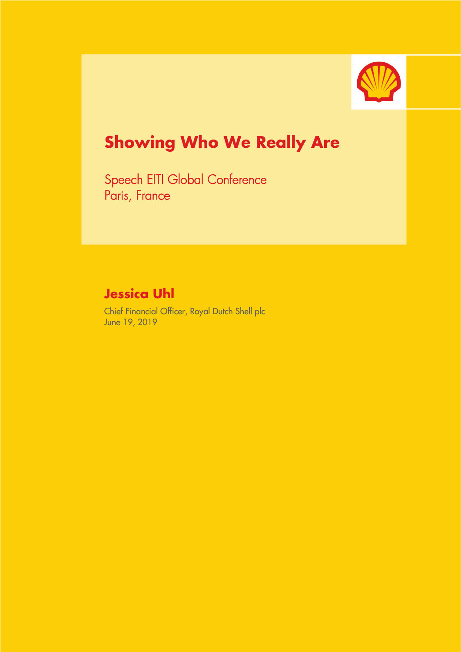

# **Showing Who We Really Are**

Speech EITI Global Conference Paris, France

# **Jessica Uhl**

Chief Financial Officer, Royal Dutch Shell plc June 19, 2019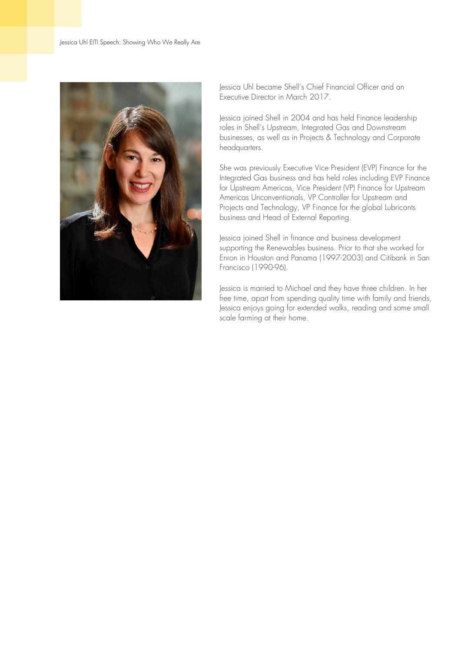

Jessica Uhl became Shell's Chief Financial Officer and an Executive Director in March 2017.

Jessica joined Shell in 2004 and has held Finance leadership roles in Shell's Upstream, Integrated Gas and Downstream businesses, as well as in Projects & Technology and Corporate headquarters.

She was previously Executive Vice President (EVP) Finance for the Integrated Gas business and has held roles including EVP Finance for Upstream Americas, Vice President (VP) Finance for Upstream Americas Unconventionals, VP Controller for Upstream and Projects and Technology, VP Finance for the global Lubricants business and Head of External Reporting.

Jessica joined Shell in finance and business development supporting the Renewables business. Prior to that she worked for Enron in Houston and Panama (1997-2003) and Citibank in San Francisco (1990-96).

Jessica is married to Michael and they have three children. In her free time, apart from spending quality time with family and friends, Jessica enjoys going for extended walks, reading and some small scale farming at their home.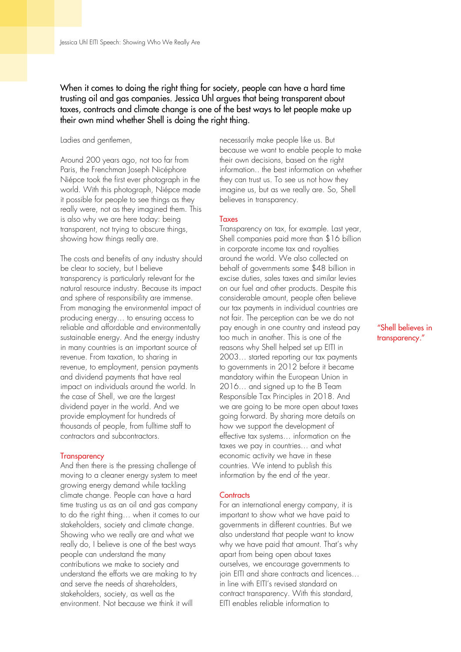## When it comes to doing the right thing for society, people can have a hard time trusting oil and gas companies. Jessica Uhl argues that being transparent about taxes, contracts and climate change is one of the best ways to let people make up their own mind whether Shell is doing the right thing.

Ladies and gentlemen,

Around 200 years ago, not too far from Paris, the Frenchman Joseph Nicéphore Niépce took the first ever photograph in the world. With this photograph, Niépce made it possible for people to see things as they really were, not as they imagined them. This is also why we are here today: being transparent, not trying to obscure things, showing how things really are.

The costs and benefits of any industry should be clear to society, but I believe transparency is particularly relevant for the natural resource industry. Because its impact and sphere of responsibility are immense. From managing the environmental impact of producing energy… to ensuring access to reliable and affordable and environmentally sustainable energy. And the energy industry in many countries is an important source of revenue. From taxation, to sharing in revenue, to employment, pension payments and dividend payments that have real impact on individuals around the world. In the case of Shell, we are the largest dividend payer in the world. And we provide employment for hundreds of thousands of people, from fulltime staff to contractors and subcontractors.

#### **Transparency**

And then there is the pressing challenge of moving to a cleaner energy system to meet growing energy demand while tackling climate change. People can have a hard time trusting us as an oil and gas company to do the right thing… when it comes to our stakeholders, society and climate change. Showing who we really are and what we really do, I believe is one of the best ways people can understand the many contributions we make to society and understand the efforts we are making to try and serve the needs of shareholders, stakeholders, society, as well as the environment. Not because we think it will

necessarily make people like us. But because we want to enable people to make their own decisions, based on the right information.. the best information on whether they can trust us. To see us not how they imagine us, but as we really are. So, Shell believes in transparency.

#### Taxes

Transparency on tax, for example. Last year, Shell companies paid more than \$16 billion in corporate income tax and royalties around the world. We also collected on behalf of governments some \$48 billion in excise duties, sales taxes and similar levies on our fuel and other products. Despite this considerable amount, people often believe our tax payments in individual countries are not fair. The perception can be we do not pay enough in one country and instead pay too much in another. This is one of the reasons why Shell helped set up EITI in 2003… started reporting our tax payments to governments in 2012 before it became mandatory within the European Union in 2016… and signed up to the B Team Responsible Tax Principles in 2018. And we are going to be more open about taxes going forward. By sharing more details on how we support the development of effective tax systems… information on the taxes we pay in countries… and what economic activity we have in these countries. We intend to publish this information by the end of the year.

#### **Contracts**

For an international energy company, it is important to show what we have paid to governments in different countries. But we also understand that people want to know why we have paid that amount. That's why apart from being open about taxes ourselves, we encourage governments to join EITI and share contracts and licences… in line with EITI's revised standard on contract transparency. With this standard, EITI enables reliable information to

### "Shell believes in transparency."